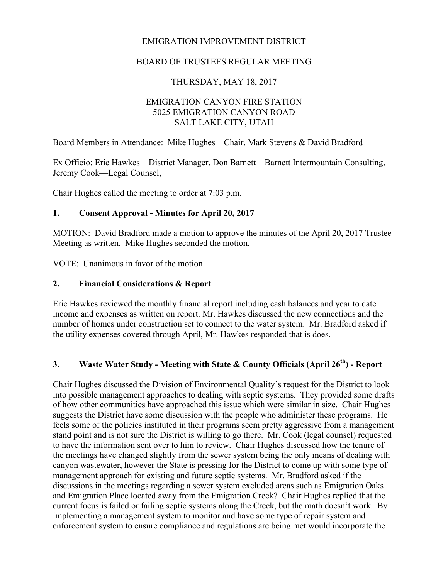#### EMIGRATION IMPROVEMENT DISTRICT

#### BOARD OF TRUSTEES REGULAR MEETING

#### THURSDAY, MAY 18, 2017

## EMIGRATION CANYON FIRE STATION 5025 EMIGRATION CANYON ROAD SALT LAKE CITY, UTAH

Board Members in Attendance: Mike Hughes – Chair, Mark Stevens & David Bradford

Ex Officio: Eric Hawkes—District Manager, Don Barnett—Barnett Intermountain Consulting, Jeremy Cook—Legal Counsel,

Chair Hughes called the meeting to order at 7:03 p.m.

#### **1. Consent Approval - Minutes for April 20, 2017**

MOTION: David Bradford made a motion to approve the minutes of the April 20, 2017 Trustee Meeting as written. Mike Hughes seconded the motion.

VOTE: Unanimous in favor of the motion.

#### **2. Financial Considerations & Report**

Eric Hawkes reviewed the monthly financial report including cash balances and year to date income and expenses as written on report. Mr. Hawkes discussed the new connections and the number of homes under construction set to connect to the water system. Mr. Bradford asked if the utility expenses covered through April, Mr. Hawkes responded that is does.

# **3. Waste Water Study - Meeting with State & County Officials (April 26th) - Report**

Chair Hughes discussed the Division of Environmental Quality's request for the District to look into possible management approaches to dealing with septic systems. They provided some drafts of how other communities have approached this issue which were similar in size. Chair Hughes suggests the District have some discussion with the people who administer these programs. He feels some of the policies instituted in their programs seem pretty aggressive from a management stand point and is not sure the District is willing to go there. Mr. Cook (legal counsel) requested to have the information sent over to him to review. Chair Hughes discussed how the tenure of the meetings have changed slightly from the sewer system being the only means of dealing with canyon wastewater, however the State is pressing for the District to come up with some type of management approach for existing and future septic systems. Mr. Bradford asked if the discussions in the meetings regarding a sewer system excluded areas such as Emigration Oaks and Emigration Place located away from the Emigration Creek? Chair Hughes replied that the current focus is failed or failing septic systems along the Creek, but the math doesn't work. By implementing a management system to monitor and have some type of repair system and enforcement system to ensure compliance and regulations are being met would incorporate the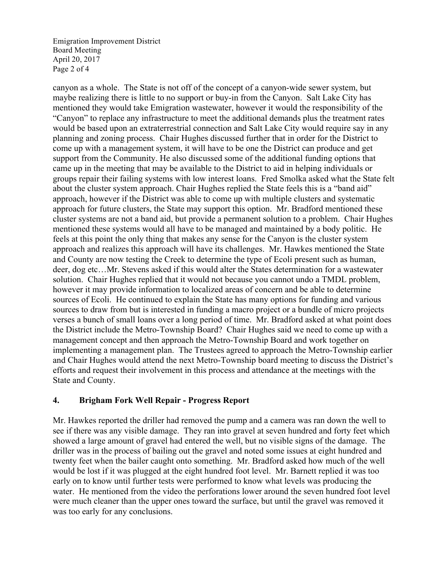Emigration Improvement District Board Meeting April 20, 2017 Page 2 of 4

canyon as a whole. The State is not off of the concept of a canyon-wide sewer system, but maybe realizing there is little to no support or buy-in from the Canyon. Salt Lake City has mentioned they would take Emigration wastewater, however it would the responsibility of the "Canyon" to replace any infrastructure to meet the additional demands plus the treatment rates would be based upon an extraterrestrial connection and Salt Lake City would require say in any planning and zoning process. Chair Hughes discussed further that in order for the District to come up with a management system, it will have to be one the District can produce and get support from the Community. He also discussed some of the additional funding options that came up in the meeting that may be available to the District to aid in helping individuals or groups repair their failing systems with low interest loans. Fred Smolka asked what the State felt about the cluster system approach. Chair Hughes replied the State feels this is a "band aid" approach, however if the District was able to come up with multiple clusters and systematic approach for future clusters, the State may support this option. Mr. Bradford mentioned these cluster systems are not a band aid, but provide a permanent solution to a problem. Chair Hughes mentioned these systems would all have to be managed and maintained by a body politic. He feels at this point the only thing that makes any sense for the Canyon is the cluster system approach and realizes this approach will have its challenges. Mr. Hawkes mentioned the State and County are now testing the Creek to determine the type of Ecoli present such as human, deer, dog etc…Mr. Stevens asked if this would alter the States determination for a wastewater solution. Chair Hughes replied that it would not because you cannot undo a TMDL problem, however it may provide information to localized areas of concern and be able to determine sources of Ecoli. He continued to explain the State has many options for funding and various sources to draw from but is interested in funding a macro project or a bundle of micro projects verses a bunch of small loans over a long period of time. Mr. Bradford asked at what point does the District include the Metro-Township Board? Chair Hughes said we need to come up with a management concept and then approach the Metro-Township Board and work together on implementing a management plan. The Trustees agreed to approach the Metro-Township earlier and Chair Hughes would attend the next Metro-Township board meeting to discuss the District's efforts and request their involvement in this process and attendance at the meetings with the State and County.

## **4. Brigham Fork Well Repair - Progress Report**

Mr. Hawkes reported the driller had removed the pump and a camera was ran down the well to see if there was any visible damage. They ran into gravel at seven hundred and forty feet which showed a large amount of gravel had entered the well, but no visible signs of the damage. The driller was in the process of bailing out the gravel and noted some issues at eight hundred and twenty feet when the bailer caught onto something. Mr. Bradford asked how much of the well would be lost if it was plugged at the eight hundred foot level. Mr. Barnett replied it was too early on to know until further tests were performed to know what levels was producing the water. He mentioned from the video the perforations lower around the seven hundred foot level were much cleaner than the upper ones toward the surface, but until the gravel was removed it was too early for any conclusions.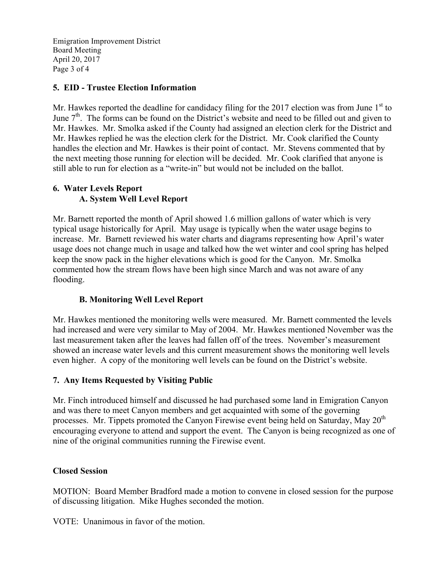Emigration Improvement District Board Meeting April 20, 2017 Page 3 of 4

## **5. EID - Trustee Election Information**

Mr. Hawkes reported the deadline for candidacy filing for the 2017 election was from June  $1<sup>st</sup>$  to June  $7<sup>th</sup>$ . The forms can be found on the District's website and need to be filled out and given to Mr. Hawkes. Mr. Smolka asked if the County had assigned an election clerk for the District and Mr. Hawkes replied he was the election clerk for the District. Mr. Cook clarified the County handles the election and Mr. Hawkes is their point of contact. Mr. Stevens commented that by the next meeting those running for election will be decided. Mr. Cook clarified that anyone is still able to run for election as a "write-in" but would not be included on the ballot.

## **6. Water Levels Report A. System Well Level Report**

Mr. Barnett reported the month of April showed 1.6 million gallons of water which is very typical usage historically for April. May usage is typically when the water usage begins to increase. Mr. Barnett reviewed his water charts and diagrams representing how April's water usage does not change much in usage and talked how the wet winter and cool spring has helped keep the snow pack in the higher elevations which is good for the Canyon. Mr. Smolka commented how the stream flows have been high since March and was not aware of any flooding.

# **B. Monitoring Well Level Report**

Mr. Hawkes mentioned the monitoring wells were measured. Mr. Barnett commented the levels had increased and were very similar to May of 2004. Mr. Hawkes mentioned November was the last measurement taken after the leaves had fallen off of the trees. November's measurement showed an increase water levels and this current measurement shows the monitoring well levels even higher. A copy of the monitoring well levels can be found on the District's website.

# **7. Any Items Requested by Visiting Public**

Mr. Finch introduced himself and discussed he had purchased some land in Emigration Canyon and was there to meet Canyon members and get acquainted with some of the governing processes. Mr. Tippets promoted the Canyon Firewise event being held on Saturday, May  $20<sup>th</sup>$ encouraging everyone to attend and support the event. The Canyon is being recognized as one of nine of the original communities running the Firewise event.

## **Closed Session**

MOTION: Board Member Bradford made a motion to convene in closed session for the purpose of discussing litigation. Mike Hughes seconded the motion.

VOTE: Unanimous in favor of the motion.